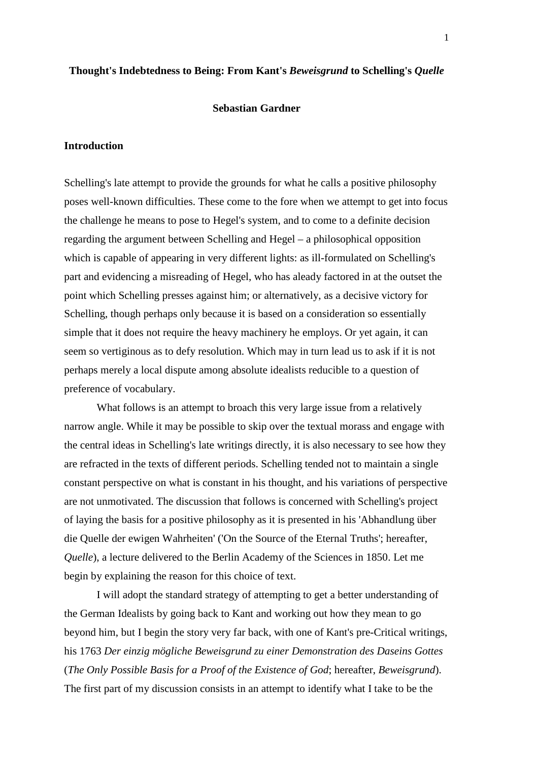#### **Thought's Indebtedness to Being: From Kant's** *Beweisgrund* **to Schelling's** *Quelle*

### **Sebastian Gardner**

# **Introduction**

Schelling's late attempt to provide the grounds for what he calls a positive philosophy poses well-known difficulties. These come to the fore when we attempt to get into focus the challenge he means to pose to Hegel's system, and to come to a definite decision regarding the argument between Schelling and Hegel – a philosophical opposition which is capable of appearing in very different lights: as ill-formulated on Schelling's part and evidencing a misreading of Hegel, who has aleady factored in at the outset the point which Schelling presses against him; or alternatively, as a decisive victory for Schelling, though perhaps only because it is based on a consideration so essentially simple that it does not require the heavy machinery he employs. Or yet again, it can seem so vertiginous as to defy resolution. Which may in turn lead us to ask if it is not perhaps merely a local dispute among absolute idealists reducible to a question of preference of vocabulary.

What follows is an attempt to broach this very large issue from a relatively narrow angle. While it may be possible to skip over the textual morass and engage with the central ideas in Schelling's late writings directly, it is also necessary to see how they are refracted in the texts of different periods. Schelling tended not to maintain a single constant perspective on what is constant in his thought, and his variations of perspective are not unmotivated. The discussion that follows is concerned with Schelling's project of laying the basis for a positive philosophy as it is presented in his 'Abhandlung über die Quelle der ewigen Wahrheiten' ('On the Source of the Eternal Truths'; hereafter, *Quelle*), a lecture delivered to the Berlin Academy of the Sciences in 1850. Let me begin by explaining the reason for this choice of text.

I will adopt the standard strategy of attempting to get a better understanding of the German Idealists by going back to Kant and working out how they mean to go beyond him, but I begin the story very far back, with one of Kant's pre-Critical writings, his 1763 *Der einzig mögliche Beweisgrund zu einer Demonstration des Daseins Gottes* (*The Only Possible Basis for a Proof of the Existence of God*; hereafter, *Beweisgrund*). The first part of my discussion consists in an attempt to identify what I take to be the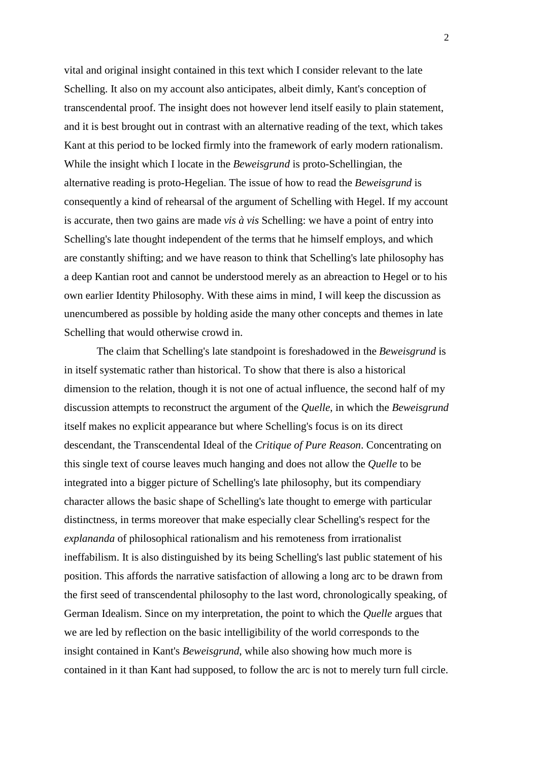vital and original insight contained in this text which I consider relevant to the late Schelling. It also on my account also anticipates, albeit dimly, Kant's conception of transcendental proof. The insight does not however lend itself easily to plain statement, and it is best brought out in contrast with an alternative reading of the text, which takes Kant at this period to be locked firmly into the framework of early modern rationalism. While the insight which I locate in the *Beweisgrund* is proto-Schellingian, the alternative reading is proto-Hegelian. The issue of how to read the *Beweisgrund* is consequently a kind of rehearsal of the argument of Schelling with Hegel. If my account is accurate, then two gains are made *vis à vis* Schelling: we have a point of entry into Schelling's late thought independent of the terms that he himself employs, and which are constantly shifting; and we have reason to think that Schelling's late philosophy has a deep Kantian root and cannot be understood merely as an abreaction to Hegel or to his own earlier Identity Philosophy. With these aims in mind, I will keep the discussion as unencumbered as possible by holding aside the many other concepts and themes in late Schelling that would otherwise crowd in.

The claim that Schelling's late standpoint is foreshadowed in the *Beweisgrund* is in itself systematic rather than historical. To show that there is also a historical dimension to the relation, though it is not one of actual influence, the second half of my discussion attempts to reconstruct the argument of the *Quelle*, in which the *Beweisgrund* itself makes no explicit appearance but where Schelling's focus is on its direct descendant, the Transcendental Ideal of the *Critique of Pure Reason*. Concentrating on this single text of course leaves much hanging and does not allow the *Quelle* to be integrated into a bigger picture of Schelling's late philosophy, but its compendiary character allows the basic shape of Schelling's late thought to emerge with particular distinctness, in terms moreover that make especially clear Schelling's respect for the *explananda* of philosophical rationalism and his remoteness from irrationalist ineffabilism. It is also distinguished by its being Schelling's last public statement of his position. This affords the narrative satisfaction of allowing a long arc to be drawn from the first seed of transcendental philosophy to the last word, chronologically speaking, of German Idealism. Since on my interpretation, the point to which the *Quelle* argues that we are led by reflection on the basic intelligibility of the world corresponds to the insight contained in Kant's *Beweisgrund*, while also showing how much more is contained in it than Kant had supposed, to follow the arc is not to merely turn full circle.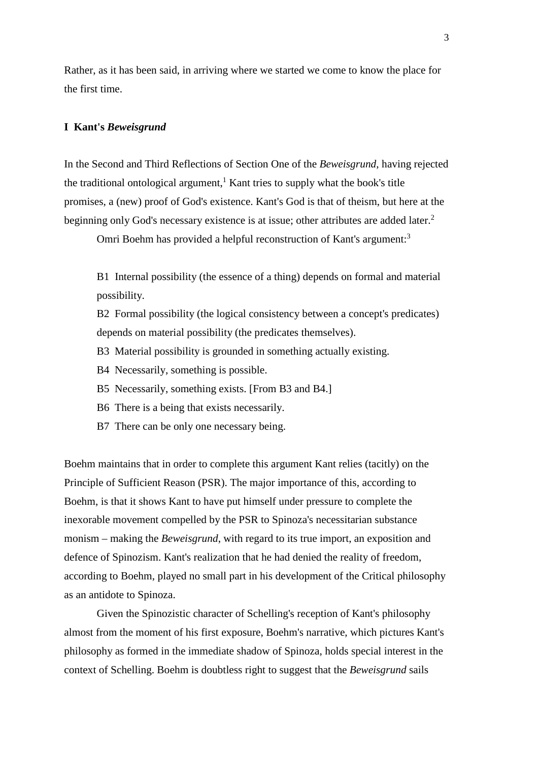Rather, as it has been said, in arriving where we started we come to know the place for the first time.

### **I Kant's** *Beweisgrund*

In the Second and Third Reflections of Section One of the *Beweisgrund*, having rejected the traditional ontological argument, $<sup>1</sup>$  Kant tries to supply what the book's title</sup> promises, a (new) proof of God's existence. Kant's God is that of theism, but here at the beginning only God's necessary existence is at issue; other attributes are added later.<sup>2</sup>

Omri Boehm has provided a helpful reconstruction of Kant's argument:<sup>3</sup>

B1 Internal possibility (the essence of a thing) depends on formal and material possibility.

B2 Formal possibility (the logical consistency between a concept's predicates) depends on material possibility (the predicates themselves).

- B3 Material possibility is grounded in something actually existing.
- B4 Necessarily, something is possible.
- B5 Necessarily, something exists. [From B3 and B4.]
- B6 There is a being that exists necessarily.
- B7 There can be only one necessary being.

Boehm maintains that in order to complete this argument Kant relies (tacitly) on the Principle of Sufficient Reason (PSR). The major importance of this, according to Boehm, is that it shows Kant to have put himself under pressure to complete the inexorable movement compelled by the PSR to Spinoza's necessitarian substance monism – making the *Beweisgrund*, with regard to its true import, an exposition and defence of Spinozism. Kant's realization that he had denied the reality of freedom, according to Boehm, played no small part in his development of the Critical philosophy as an antidote to Spinoza.

Given the Spinozistic character of Schelling's reception of Kant's philosophy almost from the moment of his first exposure, Boehm's narrative, which pictures Kant's philosophy as formed in the immediate shadow of Spinoza, holds special interest in the context of Schelling. Boehm is doubtless right to suggest that the *Beweisgrund* sails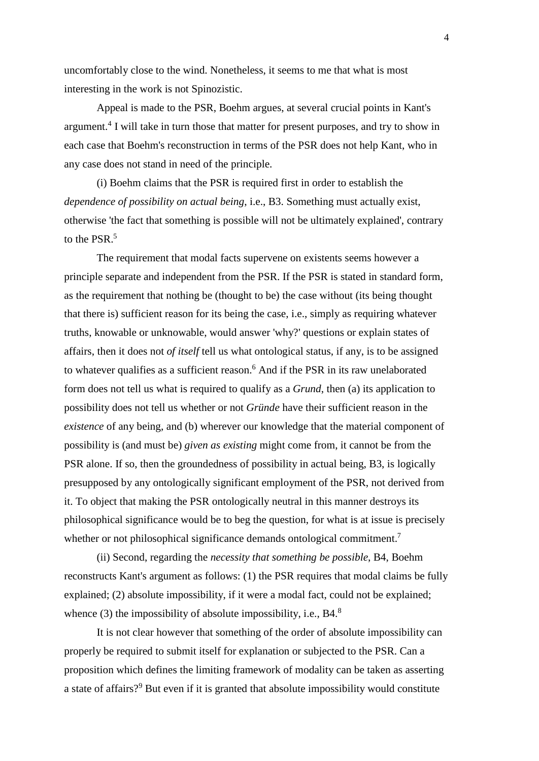uncomfortably close to the wind. Nonetheless, it seems to me that what is most interesting in the work is not Spinozistic.

Appeal is made to the PSR, Boehm argues, at several crucial points in Kant's argument.<sup>4</sup> I will take in turn those that matter for present purposes, and try to show in each case that Boehm's reconstruction in terms of the PSR does not help Kant, who in any case does not stand in need of the principle.

(i) Boehm claims that the PSR is required first in order to establish the *dependence of possibility on actual being*, i.e., B3. Something must actually exist, otherwise 'the fact that something is possible will not be ultimately explained', contrary to the PSR.<sup>5</sup>

The requirement that modal facts supervene on existents seems however a principle separate and independent from the PSR. If the PSR is stated in standard form, as the requirement that nothing be (thought to be) the case without (its being thought that there is) sufficient reason for its being the case, i.e., simply as requiring whatever truths, knowable or unknowable, would answer 'why?' questions or explain states of affairs, then it does not *of itself* tell us what ontological status, if any, is to be assigned to whatever qualifies as a sufficient reason. $6$  And if the PSR in its raw unelaborated form does not tell us what is required to qualify as a *Grund*, then (a) its application to possibility does not tell us whether or not *Gründe* have their sufficient reason in the *existence* of any being, and (b) wherever our knowledge that the material component of possibility is (and must be) *given as existing* might come from, it cannot be from the PSR alone. If so, then the groundedness of possibility in actual being, B3, is logically presupposed by any ontologically significant employment of the PSR, not derived from it. To object that making the PSR ontologically neutral in this manner destroys its philosophical significance would be to beg the question, for what is at issue is precisely whether or not philosophical significance demands ontological commitment.<sup>7</sup>

(ii) Second, regarding the *necessity that something be possible*, B4, Boehm reconstructs Kant's argument as follows: (1) the PSR requires that modal claims be fully explained; (2) absolute impossibility, if it were a modal fact, could not be explained; whence (3) the impossibility of absolute impossibility, i.e., B4.<sup>8</sup>

It is not clear however that something of the order of absolute impossibility can properly be required to submit itself for explanation or subjected to the PSR. Can a proposition which defines the limiting framework of modality can be taken as asserting a state of affairs?<sup>9</sup> But even if it is granted that absolute impossibility would constitute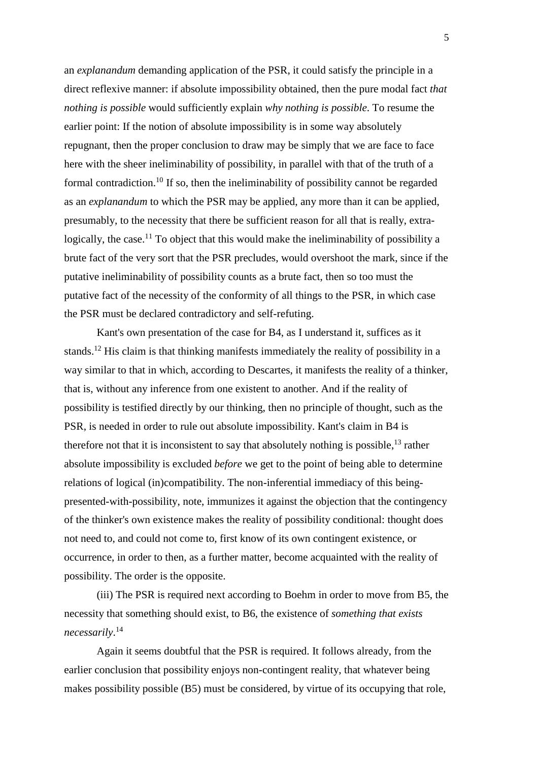an *explanandum* demanding application of the PSR, it could satisfy the principle in a direct reflexive manner: if absolute impossibility obtained, then the pure modal fact *that nothing is possible* would sufficiently explain *why nothing is possible*. To resume the earlier point: If the notion of absolute impossibility is in some way absolutely repugnant, then the proper conclusion to draw may be simply that we are face to face here with the sheer ineliminability of possibility, in parallel with that of the truth of a formal contradiction.<sup>10</sup> If so, then the ineliminability of possibility cannot be regarded as an *explanandum* to which the PSR may be applied, any more than it can be applied, presumably, to the necessity that there be sufficient reason for all that is really, extralogically, the case.<sup>11</sup> To object that this would make the ineliminability of possibility a brute fact of the very sort that the PSR precludes, would overshoot the mark, since if the putative ineliminability of possibility counts as a brute fact, then so too must the putative fact of the necessity of the conformity of all things to the PSR, in which case the PSR must be declared contradictory and self-refuting.

Kant's own presentation of the case for B4, as I understand it, suffices as it stands.<sup>12</sup> His claim is that thinking manifests immediately the reality of possibility in a way similar to that in which, according to Descartes, it manifests the reality of a thinker, that is, without any inference from one existent to another. And if the reality of possibility is testified directly by our thinking, then no principle of thought, such as the PSR, is needed in order to rule out absolute impossibility. Kant's claim in B4 is therefore not that it is inconsistent to say that absolutely nothing is possible,  $13$  rather absolute impossibility is excluded *before* we get to the point of being able to determine relations of logical (in)compatibility. The non-inferential immediacy of this beingpresented-with-possibility, note, immunizes it against the objection that the contingency of the thinker's own existence makes the reality of possibility conditional: thought does not need to, and could not come to, first know of its own contingent existence, or occurrence, in order to then, as a further matter, become acquainted with the reality of possibility. The order is the opposite.

(iii) The PSR is required next according to Boehm in order to move from B5, the necessity that something should exist, to B6, the existence of *something that exists necessarily*. 14

Again it seems doubtful that the PSR is required. It follows already, from the earlier conclusion that possibility enjoys non-contingent reality, that whatever being makes possibility possible (B5) must be considered, by virtue of its occupying that role,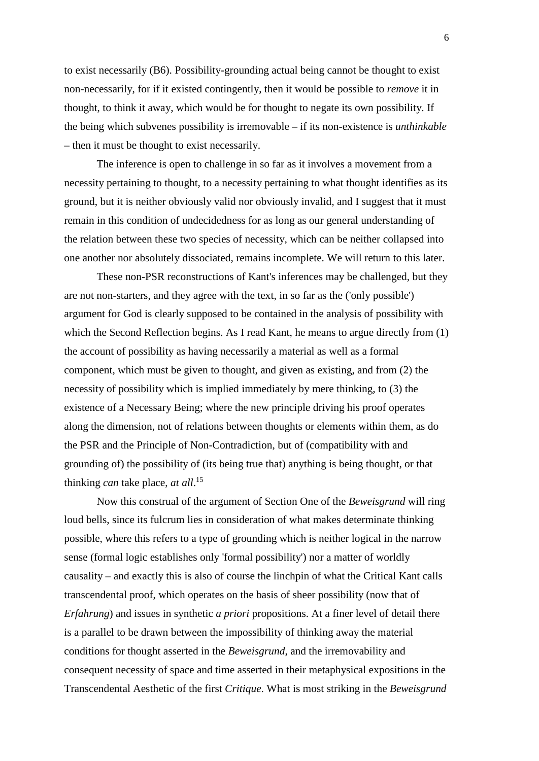to exist necessarily (B6). Possibility-grounding actual being cannot be thought to exist non-necessarily, for if it existed contingently, then it would be possible to *remove* it in thought, to think it away, which would be for thought to negate its own possibility. If the being which subvenes possibility is irremovable – if its non-existence is *unthinkable* – then it must be thought to exist necessarily.

The inference is open to challenge in so far as it involves a movement from a necessity pertaining to thought, to a necessity pertaining to what thought identifies as its ground, but it is neither obviously valid nor obviously invalid, and I suggest that it must remain in this condition of undecidedness for as long as our general understanding of the relation between these two species of necessity, which can be neither collapsed into one another nor absolutely dissociated, remains incomplete. We will return to this later.

These non-PSR reconstructions of Kant's inferences may be challenged, but they are not non-starters, and they agree with the text, in so far as the ('only possible') argument for God is clearly supposed to be contained in the analysis of possibility with which the Second Reflection begins. As I read Kant, he means to argue directly from (1) the account of possibility as having necessarily a material as well as a formal component, which must be given to thought, and given as existing, and from (2) the necessity of possibility which is implied immediately by mere thinking, to (3) the existence of a Necessary Being; where the new principle driving his proof operates along the dimension, not of relations between thoughts or elements within them, as do the PSR and the Principle of Non-Contradiction, but of (compatibility with and grounding of) the possibility of (its being true that) anything is being thought, or that thinking *can* take place, *at all*. 15

Now this construal of the argument of Section One of the *Beweisgrund* will ring loud bells, since its fulcrum lies in consideration of what makes determinate thinking possible, where this refers to a type of grounding which is neither logical in the narrow sense (formal logic establishes only 'formal possibility') nor a matter of worldly causality – and exactly this is also of course the linchpin of what the Critical Kant calls transcendental proof, which operates on the basis of sheer possibility (now that of *Erfahrung*) and issues in synthetic *a priori* propositions. At a finer level of detail there is a parallel to be drawn between the impossibility of thinking away the material conditions for thought asserted in the *Beweisgrund*, and the irremovability and consequent necessity of space and time asserted in their metaphysical expositions in the Transcendental Aesthetic of the first *Critique*. What is most striking in the *Beweisgrund*

6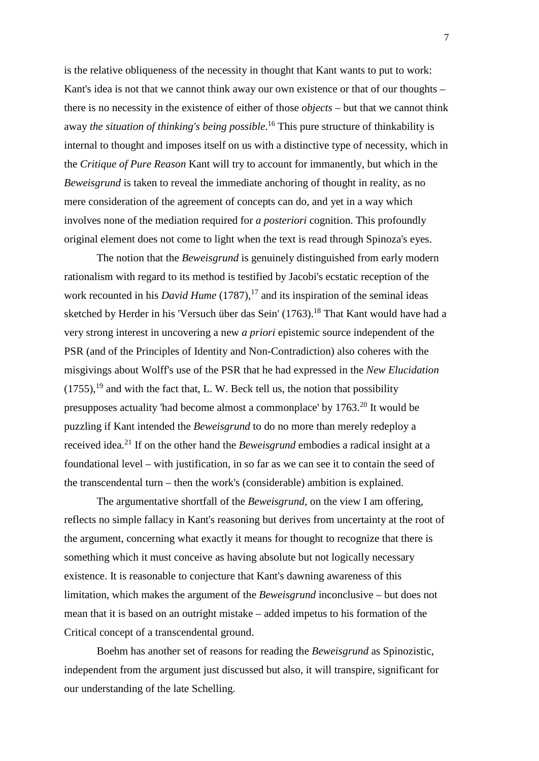is the relative obliqueness of the necessity in thought that Kant wants to put to work: Kant's idea is not that we cannot think away our own existence or that of our thoughts – there is no necessity in the existence of either of those *objects* – but that we cannot think away *the situation of thinking's being possible*. <sup>16</sup> This pure structure of thinkability is internal to thought and imposes itself on us with a distinctive type of necessity, which in the *Critique of Pure Reason* Kant will try to account for immanently, but which in the *Beweisgrund* is taken to reveal the immediate anchoring of thought in reality, as no mere consideration of the agreement of concepts can do, and yet in a way which involves none of the mediation required for *a posteriori* cognition. This profoundly original element does not come to light when the text is read through Spinoza's eyes.

The notion that the *Beweisgrund* is genuinely distinguished from early modern rationalism with regard to its method is testified by Jacobi's ecstatic reception of the work recounted in his *David Hume* (1787),<sup>17</sup> and its inspiration of the seminal ideas sketched by Herder in his 'Versuch über das Sein' (1763).<sup>18</sup> That Kant would have had a very strong interest in uncovering a new *a priori* epistemic source independent of the PSR (and of the Principles of Identity and Non-Contradiction) also coheres with the misgivings about Wolff's use of the PSR that he had expressed in the *New Elucidation*  $(1755)$ ,<sup>19</sup> and with the fact that, L. W. Beck tell us, the notion that possibility presupposes actuality 'had become almost a commonplace' by 1763.<sup>20</sup> It would be puzzling if Kant intended the *Beweisgrund* to do no more than merely redeploy a received idea.<sup>21</sup> If on the other hand the *Beweisgrund* embodies a radical insight at a foundational level – with justification, in so far as we can see it to contain the seed of the transcendental turn – then the work's (considerable) ambition is explained.

The argumentative shortfall of the *Beweisgrund*, on the view I am offering, reflects no simple fallacy in Kant's reasoning but derives from uncertainty at the root of the argument, concerning what exactly it means for thought to recognize that there is something which it must conceive as having absolute but not logically necessary existence. It is reasonable to conjecture that Kant's dawning awareness of this limitation, which makes the argument of the *Beweisgrund* inconclusive – but does not mean that it is based on an outright mistake – added impetus to his formation of the Critical concept of a transcendental ground.

Boehm has another set of reasons for reading the *Beweisgrund* as Spinozistic, independent from the argument just discussed but also, it will transpire, significant for our understanding of the late Schelling.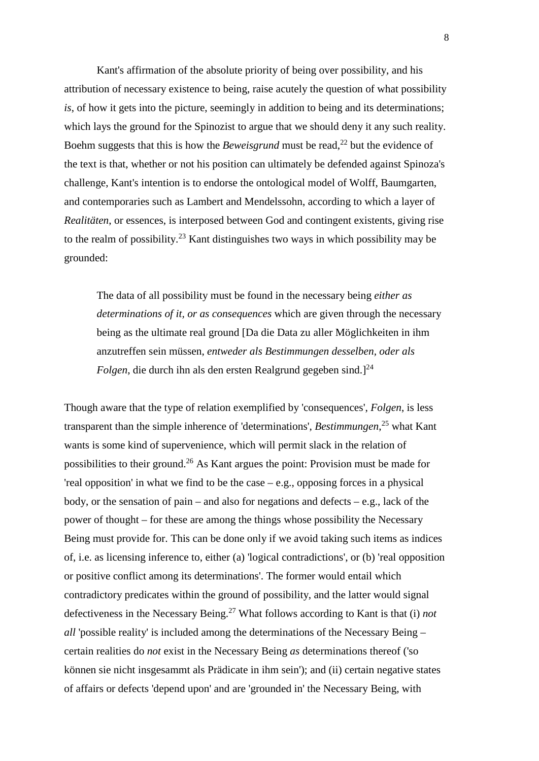Kant's affirmation of the absolute priority of being over possibility, and his attribution of necessary existence to being, raise acutely the question of what possibility *is*, of how it gets into the picture, seemingly in addition to being and its determinations; which lays the ground for the Spinozist to argue that we should deny it any such reality. Boehm suggests that this is how the *Beweisgrund* must be read,<sup>22</sup> but the evidence of the text is that, whether or not his position can ultimately be defended against Spinoza's challenge, Kant's intention is to endorse the ontological model of Wolff, Baumgarten, and contemporaries such as Lambert and Mendelssohn, according to which a layer of *Realitäten*, or essences, is interposed between God and contingent existents, giving rise to the realm of possibility.<sup>23</sup> Kant distinguishes two ways in which possibility may be grounded:

The data of all possibility must be found in the necessary being *either as determinations of it, or as consequences* which are given through the necessary being as the ultimate real ground [Da die Data zu aller Möglichkeiten in ihm anzutreffen sein müssen, *entweder als Bestimmungen desselben, oder als*   $Foleen$ , die durch ihn als den ersten Realgrund gegeben sind.<sup>[24]</sup>

Though aware that the type of relation exemplified by 'consequences', *Folgen*, is less transparent than the simple inherence of 'determinations', *Bestimmungen*, <sup>25</sup> what Kant wants is some kind of supervenience, which will permit slack in the relation of possibilities to their ground.<sup>26</sup> As Kant argues the point: Provision must be made for 'real opposition' in what we find to be the case  $-e.g.,$  opposing forces in a physical body, or the sensation of pain – and also for negations and defects – e.g., lack of the power of thought – for these are among the things whose possibility the Necessary Being must provide for. This can be done only if we avoid taking such items as indices of, i.e. as licensing inference to, either (a) 'logical contradictions', or (b) 'real opposition or positive conflict among its determinations'. The former would entail which contradictory predicates within the ground of possibility, and the latter would signal defectiveness in the Necessary Being.<sup>27</sup> What follows according to Kant is that (i) *not all* 'possible reality' is included among the determinations of the Necessary Being – certain realities do *not* exist in the Necessary Being *as* determinations thereof ('so können sie nicht insgesammt als Prädicate in ihm sein'); and (ii) certain negative states of affairs or defects 'depend upon' and are 'grounded in' the Necessary Being, with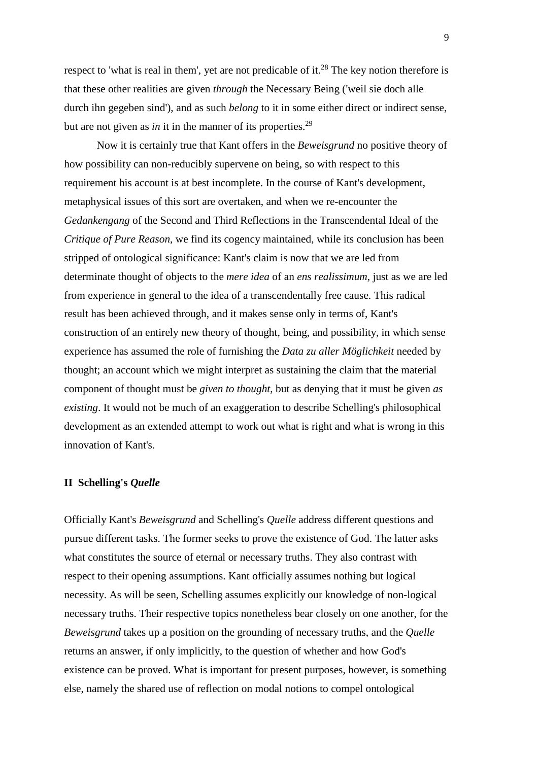respect to 'what is real in them', yet are not predicable of it.<sup>28</sup> The key notion therefore is that these other realities are given *through* the Necessary Being ('weil sie doch alle durch ihn gegeben sind'), and as such *belong* to it in some either direct or indirect sense, but are not given as *in* it in the manner of its properties.<sup>29</sup>

Now it is certainly true that Kant offers in the *Beweisgrund* no positive theory of how possibility can non-reducibly supervene on being, so with respect to this requirement his account is at best incomplete. In the course of Kant's development, metaphysical issues of this sort are overtaken, and when we re-encounter the *Gedankengang* of the Second and Third Reflections in the Transcendental Ideal of the *Critique of Pure Reason*, we find its cogency maintained, while its conclusion has been stripped of ontological significance: Kant's claim is now that we are led from determinate thought of objects to the *mere idea* of an *ens realissimum*, just as we are led from experience in general to the idea of a transcendentally free cause. This radical result has been achieved through, and it makes sense only in terms of, Kant's construction of an entirely new theory of thought, being, and possibility, in which sense experience has assumed the role of furnishing the *Data zu aller Möglichkeit* needed by thought; an account which we might interpret as sustaining the claim that the material component of thought must be *given to thought*, but as denying that it must be given *as existing*. It would not be much of an exaggeration to describe Schelling's philosophical development as an extended attempt to work out what is right and what is wrong in this innovation of Kant's.

# **II Schelling's** *Quelle*

Officially Kant's *Beweisgrund* and Schelling's *Quelle* address different questions and pursue different tasks. The former seeks to prove the existence of God. The latter asks what constitutes the source of eternal or necessary truths. They also contrast with respect to their opening assumptions. Kant officially assumes nothing but logical necessity. As will be seen, Schelling assumes explicitly our knowledge of non-logical necessary truths. Their respective topics nonetheless bear closely on one another, for the *Beweisgrund* takes up a position on the grounding of necessary truths, and the *Quelle*  returns an answer, if only implicitly, to the question of whether and how God's existence can be proved. What is important for present purposes, however, is something else, namely the shared use of reflection on modal notions to compel ontological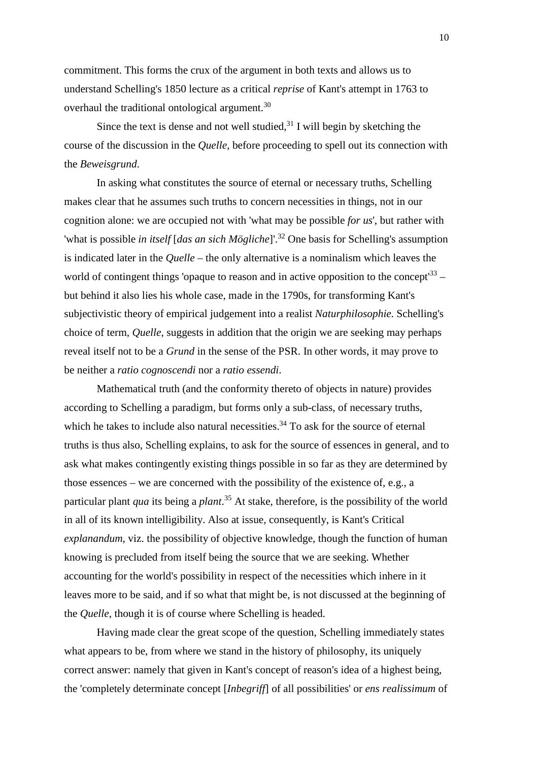commitment. This forms the crux of the argument in both texts and allows us to understand Schelling's 1850 lecture as a critical *reprise* of Kant's attempt in 1763 to overhaul the traditional ontological argument.<sup>30</sup>

Since the text is dense and not well studied, $31$  I will begin by sketching the course of the discussion in the *Quelle*, before proceeding to spell out its connection with the *Beweisgrund*.

In asking what constitutes the source of eternal or necessary truths, Schelling makes clear that he assumes such truths to concern necessities in things, not in our cognition alone: we are occupied not with 'what may be possible *for us*', but rather with 'what is possible *in itself* [*das an sich Mögliche*]'.<sup>32</sup> One basis for Schelling's assumption is indicated later in the *Quelle* – the only alternative is a nominalism which leaves the world of contingent things 'opaque to reason and in active opposition to the concept<sup>33</sup> – but behind it also lies his whole case, made in the 1790s, for transforming Kant's subjectivistic theory of empirical judgement into a realist *Naturphilosophie*. Schelling's choice of term, *Quelle*, suggests in addition that the origin we are seeking may perhaps reveal itself not to be a *Grund* in the sense of the PSR. In other words, it may prove to be neither a *ratio cognoscendi* nor a *ratio essendi*.

Mathematical truth (and the conformity thereto of objects in nature) provides according to Schelling a paradigm, but forms only a sub-class, of necessary truths, which he takes to include also natural necessities.<sup>34</sup> To ask for the source of eternal truths is thus also, Schelling explains, to ask for the source of essences in general, and to ask what makes contingently existing things possible in so far as they are determined by those essences – we are concerned with the possibility of the existence of, e.g., a particular plant *qua* its being a *plant*. <sup>35</sup> At stake, therefore, is the possibility of the world in all of its known intelligibility. Also at issue, consequently, is Kant's Critical *explanandum*, viz. the possibility of objective knowledge, though the function of human knowing is precluded from itself being the source that we are seeking. Whether accounting for the world's possibility in respect of the necessities which inhere in it leaves more to be said, and if so what that might be, is not discussed at the beginning of the *Quelle*, though it is of course where Schelling is headed.

Having made clear the great scope of the question, Schelling immediately states what appears to be, from where we stand in the history of philosophy, its uniquely correct answer: namely that given in Kant's concept of reason's idea of a highest being, the 'completely determinate concept [*Inbegriff*] of all possibilities' or *ens realissimum* of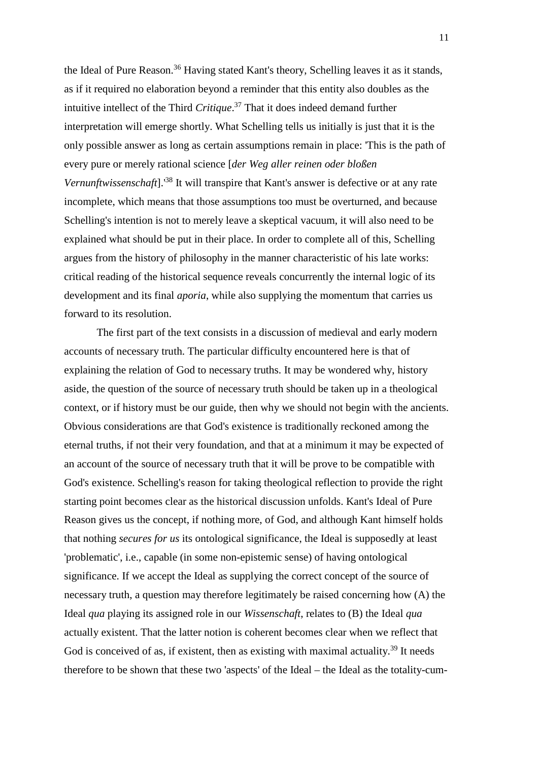the Ideal of Pure Reason.<sup>36</sup> Having stated Kant's theory, Schelling leaves it as it stands, as if it required no elaboration beyond a reminder that this entity also doubles as the intuitive intellect of the Third *Critique*. <sup>37</sup> That it does indeed demand further interpretation will emerge shortly. What Schelling tells us initially is just that it is the only possible answer as long as certain assumptions remain in place: 'This is the path of every pure or merely rational science [*der Weg aller reinen oder bloßen Vernunftwissenschaft*].'<sup>38</sup> It will transpire that Kant's answer is defective or at any rate incomplete, which means that those assumptions too must be overturned, and because Schelling's intention is not to merely leave a skeptical vacuum, it will also need to be explained what should be put in their place. In order to complete all of this, Schelling argues from the history of philosophy in the manner characteristic of his late works: critical reading of the historical sequence reveals concurrently the internal logic of its development and its final *aporia*, while also supplying the momentum that carries us forward to its resolution.

The first part of the text consists in a discussion of medieval and early modern accounts of necessary truth. The particular difficulty encountered here is that of explaining the relation of God to necessary truths. It may be wondered why, history aside, the question of the source of necessary truth should be taken up in a theological context, or if history must be our guide, then why we should not begin with the ancients. Obvious considerations are that God's existence is traditionally reckoned among the eternal truths, if not their very foundation, and that at a minimum it may be expected of an account of the source of necessary truth that it will be prove to be compatible with God's existence. Schelling's reason for taking theological reflection to provide the right starting point becomes clear as the historical discussion unfolds. Kant's Ideal of Pure Reason gives us the concept, if nothing more, of God, and although Kant himself holds that nothing *secures for us* its ontological significance, the Ideal is supposedly at least 'problematic', i.e., capable (in some non-epistemic sense) of having ontological significance. If we accept the Ideal as supplying the correct concept of the source of necessary truth, a question may therefore legitimately be raised concerning how (A) the Ideal *qua* playing its assigned role in our *Wissenschaft*, relates to (B) the Ideal *qua* actually existent. That the latter notion is coherent becomes clear when we reflect that God is conceived of as, if existent, then as existing with maximal actuality.<sup>39</sup> It needs therefore to be shown that these two 'aspects' of the Ideal – the Ideal as the totality-cum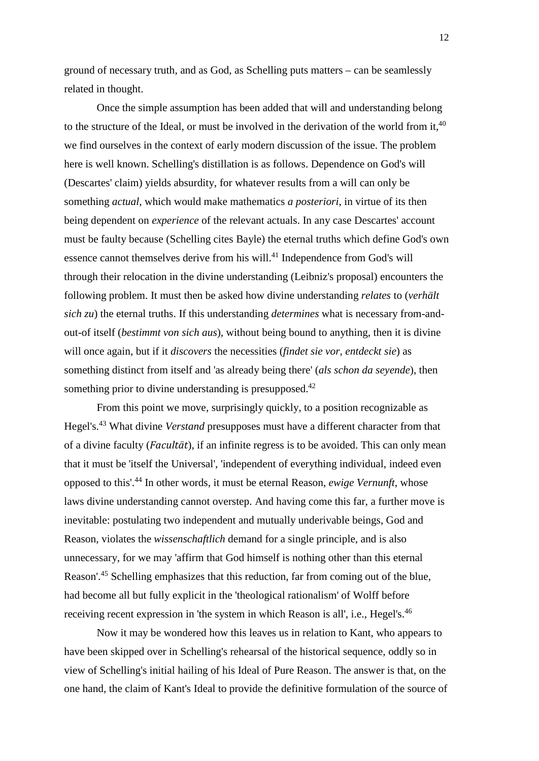ground of necessary truth, and as God, as Schelling puts matters – can be seamlessly related in thought.

Once the simple assumption has been added that will and understanding belong to the structure of the Ideal, or must be involved in the derivation of the world from it, $40$ we find ourselves in the context of early modern discussion of the issue. The problem here is well known. Schelling's distillation is as follows. Dependence on God's will (Descartes' claim) yields absurdity, for whatever results from a will can only be something *actual*, which would make mathematics *a posteriori*, in virtue of its then being dependent on *experience* of the relevant actuals. In any case Descartes' account must be faulty because (Schelling cites Bayle) the eternal truths which define God's own essence cannot themselves derive from his will.<sup>41</sup> Independence from God's will through their relocation in the divine understanding (Leibniz's proposal) encounters the following problem. It must then be asked how divine understanding *relates* to (*verhält sich zu*) the eternal truths. If this understanding *determines* what is necessary from-andout-of itself (*bestimmt von sich aus*), without being bound to anything, then it is divine will once again, but if it *discovers* the necessities (*findet sie vor*, *entdeckt sie*) as something distinct from itself and 'as already being there' (*als schon da seyende*), then something prior to divine understanding is presupposed.<sup>42</sup>

From this point we move, surprisingly quickly, to a position recognizable as Hegel's.<sup>43</sup> What divine *Verstand* presupposes must have a different character from that of a divine faculty (*Facultät*), if an infinite regress is to be avoided. This can only mean that it must be 'itself the Universal', 'independent of everything individual, indeed even opposed to this'.<sup>44</sup> In other words, it must be eternal Reason, *ewige Vernunft*, whose laws divine understanding cannot overstep. And having come this far, a further move is inevitable: postulating two independent and mutually underivable beings, God and Reason, violates the *wissenschaftlich* demand for a single principle, and is also unnecessary, for we may 'affirm that God himself is nothing other than this eternal Reason'.<sup>45</sup> Schelling emphasizes that this reduction, far from coming out of the blue, had become all but fully explicit in the 'theological rationalism' of Wolff before receiving recent expression in 'the system in which Reason is all', i.e., Hegel's.<sup>46</sup>

Now it may be wondered how this leaves us in relation to Kant, who appears to have been skipped over in Schelling's rehearsal of the historical sequence, oddly so in view of Schelling's initial hailing of his Ideal of Pure Reason. The answer is that, on the one hand, the claim of Kant's Ideal to provide the definitive formulation of the source of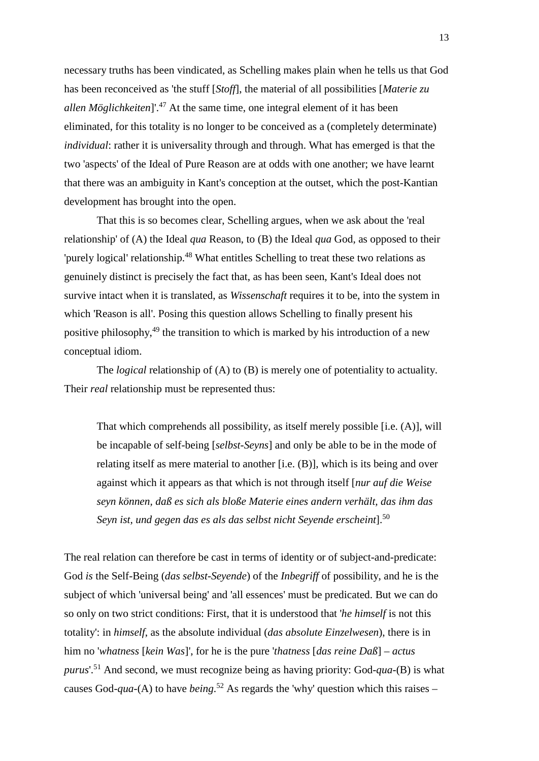necessary truths has been vindicated, as Schelling makes plain when he tells us that God has been reconceived as 'the stuff [*Stoff*], the material of all possibilities [*Materie zu allen Möglichkeiten*]'.<sup>47</sup> At the same time, one integral element of it has been eliminated, for this totality is no longer to be conceived as a (completely determinate) *individual*: rather it is universality through and through. What has emerged is that the two 'aspects' of the Ideal of Pure Reason are at odds with one another; we have learnt that there was an ambiguity in Kant's conception at the outset, which the post-Kantian development has brought into the open.

That this is so becomes clear, Schelling argues, when we ask about the 'real relationship' of (A) the Ideal *qua* Reason, to (B) the Ideal *qua* God, as opposed to their 'purely logical' relationship.<sup>48</sup> What entitles Schelling to treat these two relations as genuinely distinct is precisely the fact that, as has been seen, Kant's Ideal does not survive intact when it is translated, as *Wissenschaft* requires it to be, into the system in which 'Reason is all'. Posing this question allows Schelling to finally present his positive philosophy,<sup>49</sup> the transition to which is marked by his introduction of a new conceptual idiom.

The *logical* relationship of (A) to (B) is merely one of potentiality to actuality. Their *real* relationship must be represented thus:

That which comprehends all possibility, as itself merely possible [i.e. (A)], will be incapable of self-being [*selbst-Seyns*] and only be able to be in the mode of relating itself as mere material to another [i.e. (B)], which is its being and over against which it appears as that which is not through itself [*nur auf die Weise seyn können, daß es sich als bloße Materie eines andern verhält, das ihm das Seyn ist, und gegen das es als das selbst nicht Seyende erscheint*].<sup>50</sup>

The real relation can therefore be cast in terms of identity or of subject-and-predicate: God *is* the Self-Being (*das selbst-Seyende*) of the *Inbegriff* of possibility, and he is the subject of which 'universal being' and 'all essences' must be predicated. But we can do so only on two strict conditions: First, that it is understood that '*he himself* is not this totality': in *himself*, as the absolute individual (*das absolute Einzelwesen*), there is in him no '*whatness* [*kein Was*]', for he is the pure '*thatness* [*das reine Daß*] – *actus purus*'.<sup>51</sup> And second, we must recognize being as having priority: God-*qua*-(B) is what causes God-*qua*-(A) to have *being*. <sup>52</sup> As regards the 'why' question which this raises –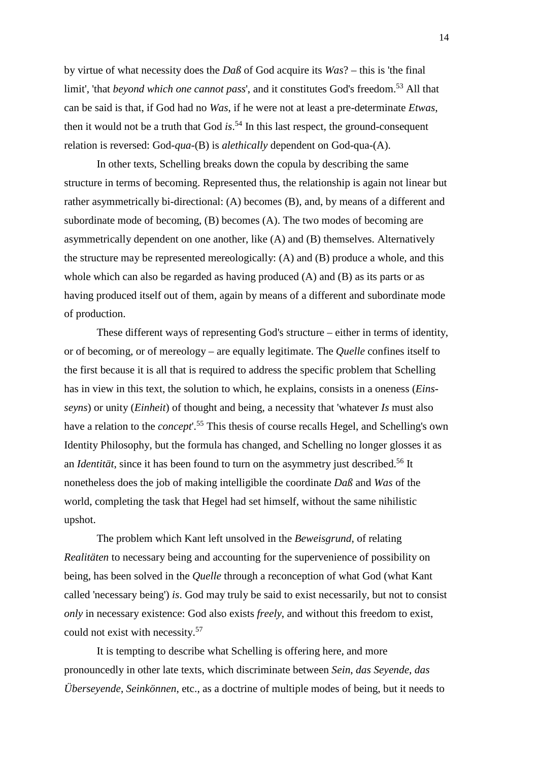by virtue of what necessity does the *Daß* of God acquire its *Was*? – this is 'the final limit', 'that *beyond which one cannot pass*', and it constitutes God's freedom.<sup>53</sup> All that can be said is that, if God had no *Was*, if he were not at least a pre-determinate *Etwas*, then it would not be a truth that God *is*. <sup>54</sup> In this last respect, the ground-consequent relation is reversed: God-*qua*-(B) is *alethically* dependent on God-qua-(A).

In other texts, Schelling breaks down the copula by describing the same structure in terms of becoming. Represented thus, the relationship is again not linear but rather asymmetrically bi-directional: (A) becomes (B), and, by means of a different and subordinate mode of becoming, (B) becomes (A). The two modes of becoming are asymmetrically dependent on one another, like (A) and (B) themselves. Alternatively the structure may be represented mereologically: (A) and (B) produce a whole, and this whole which can also be regarded as having produced  $(A)$  and  $(B)$  as its parts or as having produced itself out of them, again by means of a different and subordinate mode of production.

These different ways of representing God's structure – either in terms of identity, or of becoming, or of mereology – are equally legitimate. The *Quelle* confines itself to the first because it is all that is required to address the specific problem that Schelling has in view in this text, the solution to which, he explains, consists in a oneness (*Einsseyns*) or unity (*Einheit*) of thought and being, a necessity that 'whatever *Is* must also have a relation to the *concept*'.<sup>55</sup> This thesis of course recalls Hegel, and Schelling's own Identity Philosophy, but the formula has changed, and Schelling no longer glosses it as an *Identität*, since it has been found to turn on the asymmetry just described.<sup>56</sup> It nonetheless does the job of making intelligible the coordinate *Daß* and *Was* of the world, completing the task that Hegel had set himself, without the same nihilistic upshot.

The problem which Kant left unsolved in the *Beweisgrund*, of relating *Realitäten* to necessary being and accounting for the supervenience of possibility on being, has been solved in the *Quelle* through a reconception of what God (what Kant called 'necessary being') *is*. God may truly be said to exist necessarily, but not to consist *only* in necessary existence: God also exists *freely*, and without this freedom to exist, could not exist with necessity.<sup>57</sup>

It is tempting to describe what Schelling is offering here, and more pronouncedly in other late texts, which discriminate between *Sein*, *das Seyende*, *das Überseyende*, *Seinkönnen*, etc., as a doctrine of multiple modes of being, but it needs to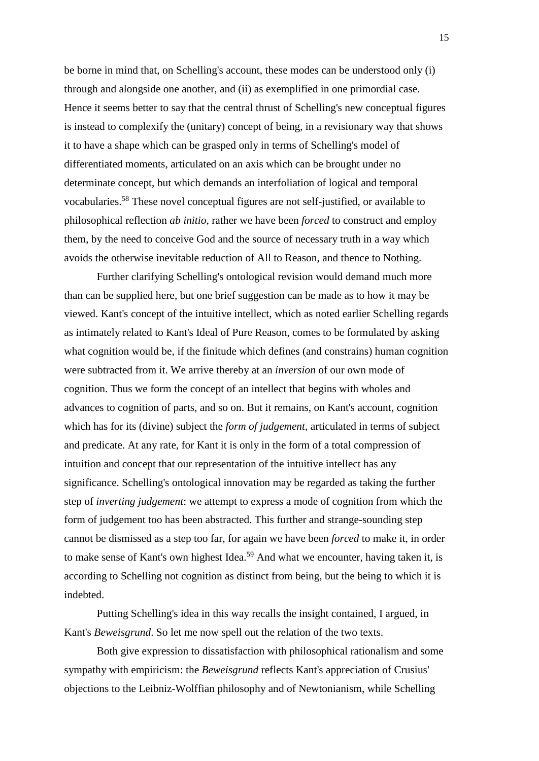be borne in mind that, on Schelling's account, these modes can be understood only (i) through and alongside one another, and (ii) as exemplified in one primordial case. Hence it seems better to say that the central thrust of Schelling's new conceptual figures is instead to complexify the (unitary) concept of being, in a revisionary way that shows it to have a shape which can be grasped only in terms of Schelling's model of differentiated moments, articulated on an axis which can be brought under no determinate concept, but which demands an interfoliation of logical and temporal vocabularies.<sup>58</sup> These novel conceptual figures are not self-justified, or available to philosophical reflection *ab initio*, rather we have been *forced* to construct and employ them, by the need to conceive God and the source of necessary truth in a way which avoids the otherwise inevitable reduction of All to Reason, and thence to Nothing.

Further clarifying Schelling's ontological revision would demand much more than can be supplied here, but one brief suggestion can be made as to how it may be viewed. Kant's concept of the intuitive intellect, which as noted earlier Schelling regards as intimately related to Kant's Ideal of Pure Reason, comes to be formulated by asking what cognition would be, if the finitude which defines (and constrains) human cognition were subtracted from it. We arrive thereby at an *inversion* of our own mode of cognition. Thus we form the concept of an intellect that begins with wholes and advances to cognition of parts, and so on. But it remains, on Kant's account, cognition which has for its (divine) subject the *form of judgement*, articulated in terms of subject and predicate. At any rate, for Kant it is only in the form of a total compression of intuition and concept that our representation of the intuitive intellect has any significance. Schelling's ontological innovation may be regarded as taking the further step of *inverting judgement*: we attempt to express a mode of cognition from which the form of judgement too has been abstracted. This further and strange-sounding step cannot be dismissed as a step too far, for again we have been *forced* to make it, in order to make sense of Kant's own highest Idea.<sup>59</sup> And what we encounter, having taken it, is according to Schelling not cognition as distinct from being, but the being to which it is indebted.

Putting Schelling's idea in this way recalls the insight contained, I argued, in Kant's *Beweisgrund*. So let me now spell out the relation of the two texts.

Both give expression to dissatisfaction with philosophical rationalism and some sympathy with empiricism: the *Beweisgrund* reflects Kant's appreciation of Crusius' objections to the Leibniz-Wolffian philosophy and of Newtonianism, while Schelling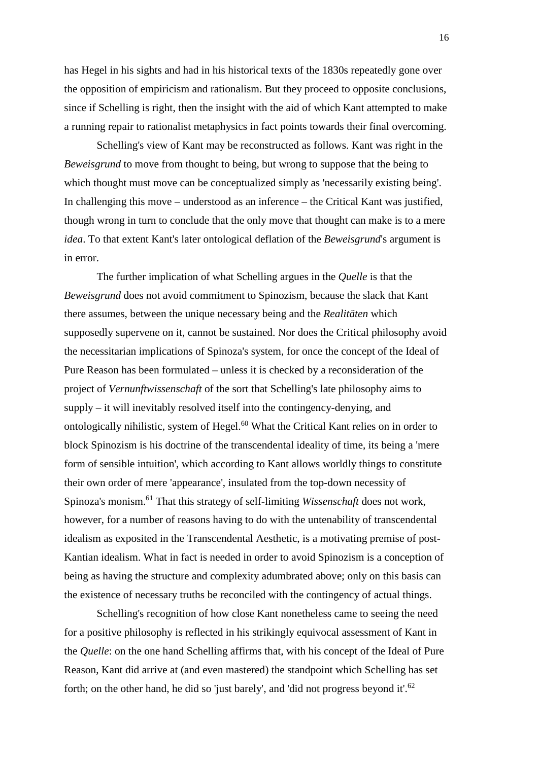has Hegel in his sights and had in his historical texts of the 1830s repeatedly gone over the opposition of empiricism and rationalism. But they proceed to opposite conclusions, since if Schelling is right, then the insight with the aid of which Kant attempted to make a running repair to rationalist metaphysics in fact points towards their final overcoming.

Schelling's view of Kant may be reconstructed as follows. Kant was right in the *Beweisgrund* to move from thought to being, but wrong to suppose that the being to which thought must move can be conceptualized simply as 'necessarily existing being'. In challenging this move – understood as an inference – the Critical Kant was justified, though wrong in turn to conclude that the only move that thought can make is to a mere *idea*. To that extent Kant's later ontological deflation of the *Beweisgrund*'s argument is in error.

The further implication of what Schelling argues in the *Quelle* is that the *Beweisgrund* does not avoid commitment to Spinozism, because the slack that Kant there assumes, between the unique necessary being and the *Realitäten* which supposedly supervene on it, cannot be sustained. Nor does the Critical philosophy avoid the necessitarian implications of Spinoza's system, for once the concept of the Ideal of Pure Reason has been formulated – unless it is checked by a reconsideration of the project of *Vernunftwissenschaft* of the sort that Schelling's late philosophy aims to supply – it will inevitably resolved itself into the contingency-denying, and ontologically nihilistic, system of Hegel.<sup>60</sup> What the Critical Kant relies on in order to block Spinozism is his doctrine of the transcendental ideality of time, its being a 'mere form of sensible intuition', which according to Kant allows worldly things to constitute their own order of mere 'appearance', insulated from the top-down necessity of Spinoza's monism.<sup>61</sup> That this strategy of self-limiting *Wissenschaft* does not work, however, for a number of reasons having to do with the untenability of transcendental idealism as exposited in the Transcendental Aesthetic, is a motivating premise of post-Kantian idealism. What in fact is needed in order to avoid Spinozism is a conception of being as having the structure and complexity adumbrated above; only on this basis can the existence of necessary truths be reconciled with the contingency of actual things.

Schelling's recognition of how close Kant nonetheless came to seeing the need for a positive philosophy is reflected in his strikingly equivocal assessment of Kant in the *Quelle*: on the one hand Schelling affirms that, with his concept of the Ideal of Pure Reason, Kant did arrive at (and even mastered) the standpoint which Schelling has set forth; on the other hand, he did so 'just barely', and 'did not progress beyond it'.<sup>62</sup>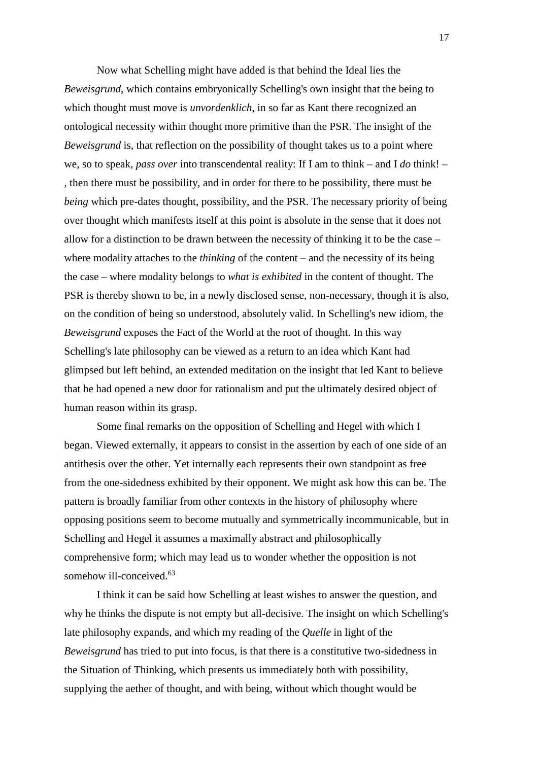Now what Schelling might have added is that behind the Ideal lies the *Beweisgrund*, which contains embryonically Schelling's own insight that the being to which thought must move is *unvordenklich*, in so far as Kant there recognized an ontological necessity within thought more primitive than the PSR. The insight of the *Beweisgrund* is, that reflection on the possibility of thought takes us to a point where we, so to speak, *pass over* into transcendental reality: If I am to think – and I *do* think! – , then there must be possibility, and in order for there to be possibility, there must be *being* which pre-dates thought, possibility, and the PSR. The necessary priority of being over thought which manifests itself at this point is absolute in the sense that it does not allow for a distinction to be drawn between the necessity of thinking it to be the case – where modality attaches to the *thinking* of the content – and the necessity of its being the case – where modality belongs to *what is exhibited* in the content of thought. The PSR is thereby shown to be, in a newly disclosed sense, non-necessary, though it is also, on the condition of being so understood, absolutely valid. In Schelling's new idiom, the *Beweisgrund* exposes the Fact of the World at the root of thought. In this way Schelling's late philosophy can be viewed as a return to an idea which Kant had glimpsed but left behind, an extended meditation on the insight that led Kant to believe that he had opened a new door for rationalism and put the ultimately desired object of human reason within its grasp.

Some final remarks on the opposition of Schelling and Hegel with which I began. Viewed externally, it appears to consist in the assertion by each of one side of an antithesis over the other. Yet internally each represents their own standpoint as free from the one-sidedness exhibited by their opponent. We might ask how this can be. The pattern is broadly familiar from other contexts in the history of philosophy where opposing positions seem to become mutually and symmetrically incommunicable, but in Schelling and Hegel it assumes a maximally abstract and philosophically comprehensive form; which may lead us to wonder whether the opposition is not somehow ill-conceived.<sup>63</sup>

I think it can be said how Schelling at least wishes to answer the question, and why he thinks the dispute is not empty but all-decisive. The insight on which Schelling's late philosophy expands, and which my reading of the *Quelle* in light of the *Beweisgrund* has tried to put into focus, is that there is a constitutive two-sidedness in the Situation of Thinking, which presents us immediately both with possibility, supplying the aether of thought, and with being, without which thought would be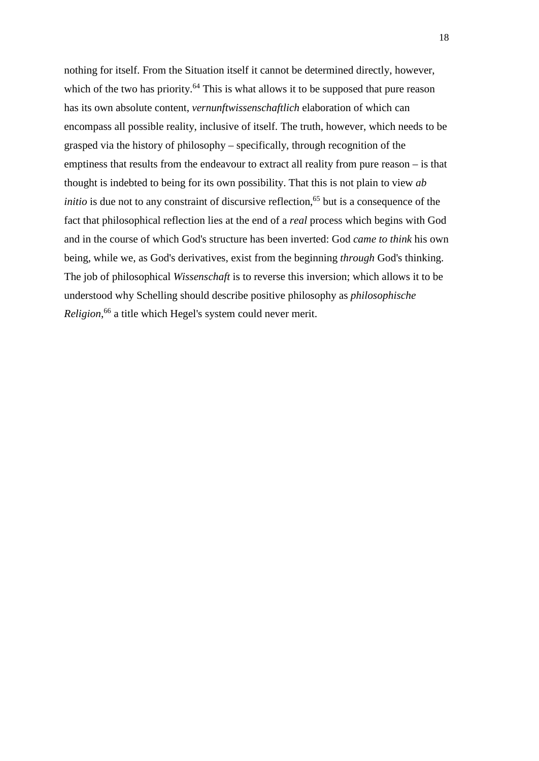nothing for itself. From the Situation itself it cannot be determined directly, however, which of the two has priority.<sup>64</sup> This is what allows it to be supposed that pure reason has its own absolute content, *vernunftwissenschaftlich* elaboration of which can encompass all possible reality, inclusive of itself. The truth, however, which needs to be grasped via the history of philosophy – specifically, through recognition of the emptiness that results from the endeavour to extract all reality from pure reason – is that thought is indebted to being for its own possibility. That this is not plain to view *ab initio* is due not to any constraint of discursive reflection,<sup>65</sup> but is a consequence of the fact that philosophical reflection lies at the end of a *real* process which begins with God and in the course of which God's structure has been inverted: God *came to think* his own being, while we, as God's derivatives, exist from the beginning *through* God's thinking. The job of philosophical *Wissenschaft* is to reverse this inversion; which allows it to be understood why Schelling should describe positive philosophy as *philosophische Religion*, <sup>66</sup> a title which Hegel's system could never merit.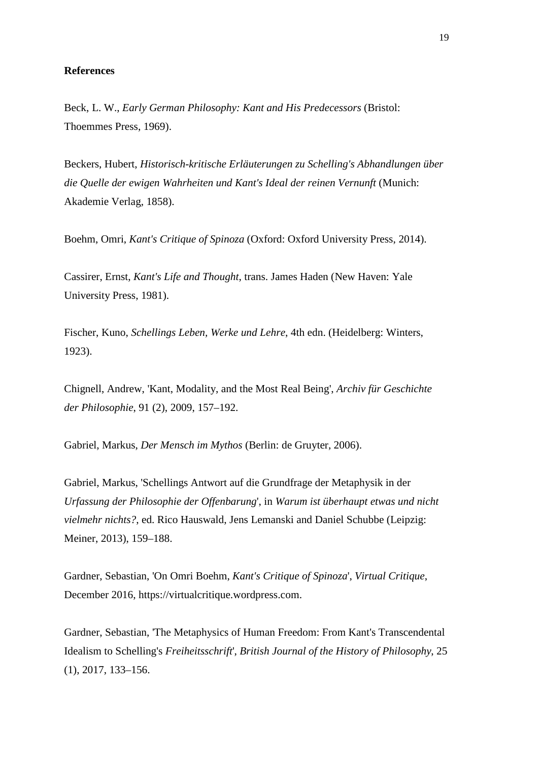#### **References**

Beck, L. W., *Early German Philosophy: Kant and His Predecessors* (Bristol: Thoemmes Press, 1969).

Beckers, Hubert, *Historisch-kritische Erläuterungen zu Schelling's Abhandlungen über die Quelle der ewigen Wahrheiten und Kant's Ideal der reinen Vernunft* (Munich: Akademie Verlag, 1858).

Boehm, Omri, *Kant's Critique of Spinoza* (Oxford: Oxford University Press, 2014).

Cassirer, Ernst, *Kant's Life and Thought*, trans. James Haden (New Haven: Yale University Press, 1981).

Fischer, Kuno, *Schellings Leben, Werke und Lehre*, 4th edn. (Heidelberg: Winters, 1923).

Chignell, Andrew, 'Kant, Modality, and the Most Real Being', *Archiv für Geschichte der Philosophie*, 91 (2), 2009, 157–192.

Gabriel, Markus, *Der Mensch im Mythos* (Berlin: de Gruyter, 2006).

Gabriel, Markus, 'Schellings Antwort auf die Grundfrage der Metaphysik in der *Urfassung der Philosophie der Offenbarung*', in *Warum ist überhaupt etwas und nicht vielmehr nichts?*, ed. Rico Hauswald, Jens Lemanski and Daniel Schubbe (Leipzig: Meiner, 2013), 159–188.

Gardner, Sebastian, 'On Omri Boehm, *Kant's Critique of Spinoza*', *Virtual Critique*, December 2016, https://virtualcritique.wordpress.com.

Gardner, Sebastian, 'The Metaphysics of Human Freedom: From Kant's Transcendental Idealism to Schelling's *Freiheitsschrift*', *British Journal of the History of Philosophy*, 25 (1), 2017, 133–156.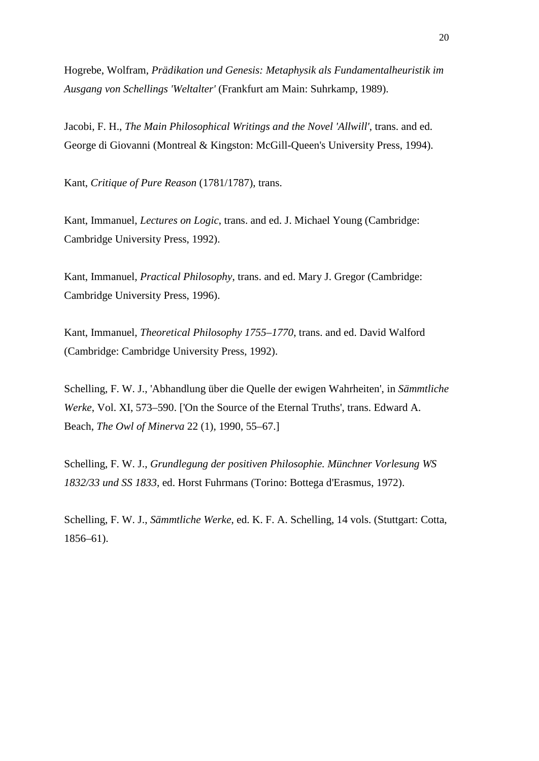Hogrebe, Wolfram, *Prädikation und Genesis: Metaphysik als Fundamentalheuristik im Ausgang von Schellings 'Weltalter'* (Frankfurt am Main: Suhrkamp, 1989).

Jacobi, F. H., *The Main Philosophical Writings and the Novel 'Allwill'*, trans. and ed. George di Giovanni (Montreal & Kingston: McGill-Queen's University Press, 1994).

Kant, *Critique of Pure Reason* (1781/1787), trans.

Kant, Immanuel, *Lectures on Logic*, trans. and ed. J. Michael Young (Cambridge: Cambridge University Press, 1992).

Kant, Immanuel, *Practical Philosophy*, trans. and ed. Mary J. Gregor (Cambridge: Cambridge University Press, 1996).

Kant, Immanuel, *Theoretical Philosophy 1755–1770*, trans. and ed. David Walford (Cambridge: Cambridge University Press, 1992).

Schelling, F. W. J., 'Abhandlung über die Quelle der ewigen Wahrheiten', in *Sämmtliche Werke*, Vol. XI, 573–590. ['On the Source of the Eternal Truths', trans. Edward A. Beach, *The Owl of Minerva* 22 (1), 1990, 55–67.]

Schelling, F. W. J., *Grundlegung der positiven Philosophie. Münchner Vorlesung WS 1832/33 und SS 1833*, ed. Horst Fuhrmans (Torino: Bottega d'Erasmus, 1972).

Schelling, F. W. J., *Sämmtliche Werke*, ed. K. F. A. Schelling, 14 vols. (Stuttgart: Cotta, 1856–61).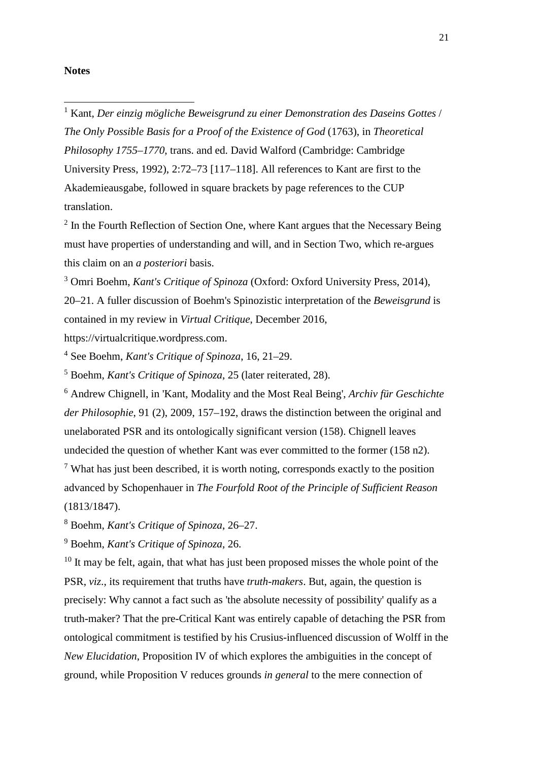#### **Notes**

-<sup>1</sup> Kant, *Der einzig mögliche Beweisgrund zu einer Demonstration des Daseins Gottes* / *The Only Possible Basis for a Proof of the Existence of God* (1763), in *Theoretical Philosophy 1755–1770*, trans. and ed. David Walford (Cambridge: Cambridge University Press, 1992), 2:72–73 [117–118]. All references to Kant are first to the Akademieausgabe, followed in square brackets by page references to the CUP translation.

 $2$  In the Fourth Reflection of Section One, where Kant argues that the Necessary Being must have properties of understanding and will, and in Section Two, which re-argues this claim on an *a posteriori* basis.

3 Omri Boehm, *Kant's Critique of Spinoza* (Oxford: Oxford University Press, 2014), 20–21. A fuller discussion of Boehm's Spinozistic interpretation of the *Beweisgrund* is contained in my review in *Virtual Critique*, December 2016, https://virtualcritique.wordpress.com.

4 See Boehm, *Kant's Critique of Spinoza*, 16, 21–29.

5 Boehm, *Kant's Critique of Spinoza*, 25 (later reiterated, 28).

6 Andrew Chignell, in 'Kant, Modality and the Most Real Being', *Archiv für Geschichte der Philosophie*, 91 (2), 2009, 157–192, draws the distinction between the original and unelaborated PSR and its ontologically significant version (158). Chignell leaves undecided the question of whether Kant was ever committed to the former (158 n2). <sup>7</sup> What has just been described, it is worth noting, corresponds exactly to the position

advanced by Schopenhauer in *The Fourfold Root of the Principle of Sufficient Reason* (1813/1847).

8 Boehm, *Kant's Critique of Spinoza*, 26–27.

9 Boehm, *Kant's Critique of Spinoza*, 26.

 $10$  It may be felt, again, that what has just been proposed misses the whole point of the PSR, *viz*., its requirement that truths have *truth-makers*. But, again, the question is precisely: Why cannot a fact such as 'the absolute necessity of possibility' qualify as a truth-maker? That the pre-Critical Kant was entirely capable of detaching the PSR from ontological commitment is testified by his Crusius-influenced discussion of Wolff in the *New Elucidation*, Proposition IV of which explores the ambiguities in the concept of ground, while Proposition V reduces grounds *in general* to the mere connection of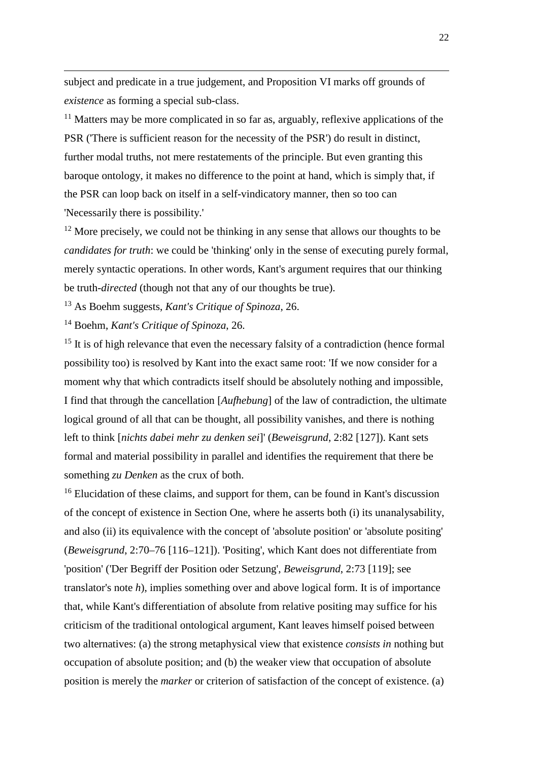subject and predicate in a true judgement, and Proposition VI marks off grounds of *existence* as forming a special sub-class.

<sup>11</sup> Matters may be more complicated in so far as, arguably, reflexive applications of the PSR ('There is sufficient reason for the necessity of the PSR') do result in distinct, further modal truths, not mere restatements of the principle. But even granting this baroque ontology, it makes no difference to the point at hand, which is simply that, if the PSR can loop back on itself in a self-vindicatory manner, then so too can 'Necessarily there is possibility.'

 $12$  More precisely, we could not be thinking in any sense that allows our thoughts to be *candidates for truth*: we could be 'thinking' only in the sense of executing purely formal, merely syntactic operations. In other words, Kant's argument requires that our thinking be truth-*directed* (though not that any of our thoughts be true).

<sup>13</sup> As Boehm suggests, *Kant's Critique of Spinoza*, 26.

<sup>14</sup> Boehm, *Kant's Critique of Spinoza*, 26.

1

<sup>15</sup> It is of high relevance that even the necessary falsity of a contradiction (hence formal possibility too) is resolved by Kant into the exact same root: 'If we now consider for a moment why that which contradicts itself should be absolutely nothing and impossible, I find that through the cancellation [*Aufhebung*] of the law of contradiction, the ultimate logical ground of all that can be thought, all possibility vanishes, and there is nothing left to think [*nichts dabei mehr zu denken sei*]' (*Beweisgrund*, 2:82 [127]). Kant sets formal and material possibility in parallel and identifies the requirement that there be something *zu Denken* as the crux of both.

<sup>16</sup> Elucidation of these claims, and support for them, can be found in Kant's discussion of the concept of existence in Section One, where he asserts both (i) its unanalysability, and also (ii) its equivalence with the concept of 'absolute position' or 'absolute positing' (*Beweisgrund*, 2:70–76 [116–121]). 'Positing', which Kant does not differentiate from 'position' ('Der Begriff der Position oder Setzung', *Beweisgrund*, 2:73 [119]; see translator's note *h*), implies something over and above logical form. It is of importance that, while Kant's differentiation of absolute from relative positing may suffice for his criticism of the traditional ontological argument, Kant leaves himself poised between two alternatives: (a) the strong metaphysical view that existence *consists in* nothing but occupation of absolute position; and (b) the weaker view that occupation of absolute position is merely the *marker* or criterion of satisfaction of the concept of existence. (a)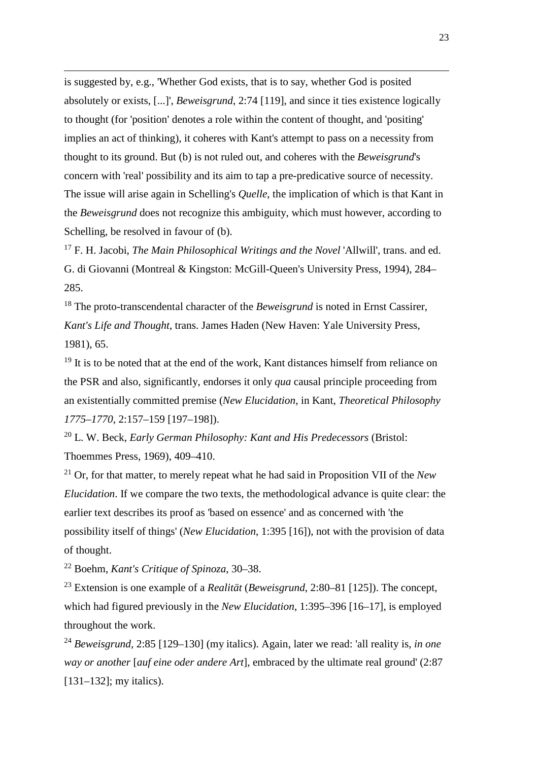is suggested by, e.g., 'Whether God exists, that is to say, whether God is posited absolutely or exists, [...]', *Beweisgrund*, 2:74 [119], and since it ties existence logically to thought (for 'position' denotes a role within the content of thought, and 'positing' implies an act of thinking), it coheres with Kant's attempt to pass on a necessity from thought to its ground. But (b) is not ruled out, and coheres with the *Beweisgrund*'s concern with 'real' possibility and its aim to tap a pre-predicative source of necessity. The issue will arise again in Schelling's *Quelle*, the implication of which is that Kant in the *Beweisgrund* does not recognize this ambiguity, which must however, according to Schelling, be resolved in favour of (b).

<sup>17</sup> F. H. Jacobi, *The Main Philosophical Writings and the Novel* 'Allwill', trans. and ed. G. di Giovanni (Montreal & Kingston: McGill-Queen's University Press, 1994), 284– 285.

<sup>18</sup> The proto-transcendental character of the *Beweisgrund* is noted in Ernst Cassirer, *Kant's Life and Thought*, trans. James Haden (New Haven: Yale University Press, 1981), 65.

 $19$  It is to be noted that at the end of the work, Kant distances himself from reliance on the PSR and also, significantly, endorses it only *qua* causal principle proceeding from an existentially committed premise (*New Elucidation*, in Kant, *Theoretical Philosophy 1775–1770*, 2:157–159 [197–198]).

<sup>20</sup> L. W. Beck, *Early German Philosophy: Kant and His Predecessors* (Bristol: Thoemmes Press, 1969), 409–410.

<sup>21</sup> Or, for that matter, to merely repeat what he had said in Proposition VII of the *New Elucidation*. If we compare the two texts, the methodological advance is quite clear: the earlier text describes its proof as 'based on essence' and as concerned with 'the possibility itself of things' (*New Elucidation*, 1:395 [16]), not with the provision of data of thought.

<sup>22</sup> Boehm, *Kant's Critique of Spinoza*, 30–38.

1

<sup>23</sup> Extension is one example of a *Realität* (*Beweisgrund*, 2:80–81 [125]). The concept, which had figured previously in the *New Elucidation*, 1:395–396 [16–17], is employed throughout the work.

<sup>24</sup> *Beweisgrund*, 2:85 [129–130] (my italics). Again, later we read: 'all reality is, *in one way or another* [*auf eine oder andere Art*], embraced by the ultimate real ground' (2:87 [131–132]; my italics).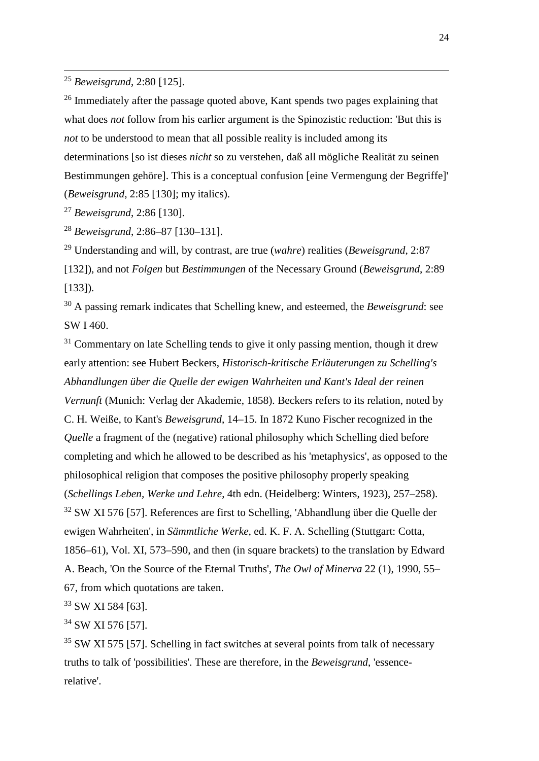1

<sup>26</sup> Immediately after the passage quoted above, Kant spends two pages explaining that what does *not* follow from his earlier argument is the Spinozistic reduction: 'But this is *not* to be understood to mean that all possible reality is included among its determinations [so ist dieses *nicht* so zu verstehen, daß all mögliche Realität zu seinen Bestimmungen gehöre]. This is a conceptual confusion [eine Vermengung der Begriffe]' (*Beweisgrund*, 2:85 [130]; my italics).

<sup>27</sup> *Beweisgrund*, 2:86 [130].

<sup>28</sup> *Beweisgrund*, 2:86–87 [130–131].

<sup>29</sup> Understanding and will, by contrast, are true (*wahre*) realities (*Beweisgrund*, 2:87 [132]), and not *Folgen* but *Bestimmungen* of the Necessary Ground (*Beweisgrund*, 2:89 [133]).

<sup>30</sup> A passing remark indicates that Schelling knew, and esteemed, the *Beweisgrund*: see SW I 460.

 $31$  Commentary on late Schelling tends to give it only passing mention, though it drew early attention: see Hubert Beckers, *Historisch-kritische Erläuterungen zu Schelling's Abhandlungen über die Quelle der ewigen Wahrheiten und Kant's Ideal der reinen Vernunft* (Munich: Verlag der Akademie, 1858). Beckers refers to its relation, noted by C. H. Weiße, to Kant's *Beweisgrund*, 14–15. In 1872 Kuno Fischer recognized in the *Quelle* a fragment of the (negative) rational philosophy which Schelling died before completing and which he allowed to be described as his 'metaphysics', as opposed to the philosophical religion that composes the positive philosophy properly speaking (*Schellings Leben, Werke und Lehre*, 4th edn. (Heidelberg: Winters, 1923), 257–258). <sup>32</sup> SW XI 576 [57]. References are first to Schelling, 'Abhandlung über die Quelle der ewigen Wahrheiten', in *Sämmtliche Werke*, ed. K. F. A. Schelling (Stuttgart: Cotta, 1856–61), Vol. XI, 573–590, and then (in square brackets) to the translation by Edward A. Beach, 'On the Source of the Eternal Truths', *The Owl of Minerva* 22 (1), 1990, 55– 67, from which quotations are taken.

<sup>33</sup> SW XI 584 [63].

<sup>34</sup> SW XI 576 [57].

<sup>35</sup> SW XI 575 [57]. Schelling in fact switches at several points from talk of necessary truths to talk of 'possibilities'. These are therefore, in the *Beweisgrund*, 'essencerelative'.

<sup>25</sup> *Beweisgrund*, 2:80 [125].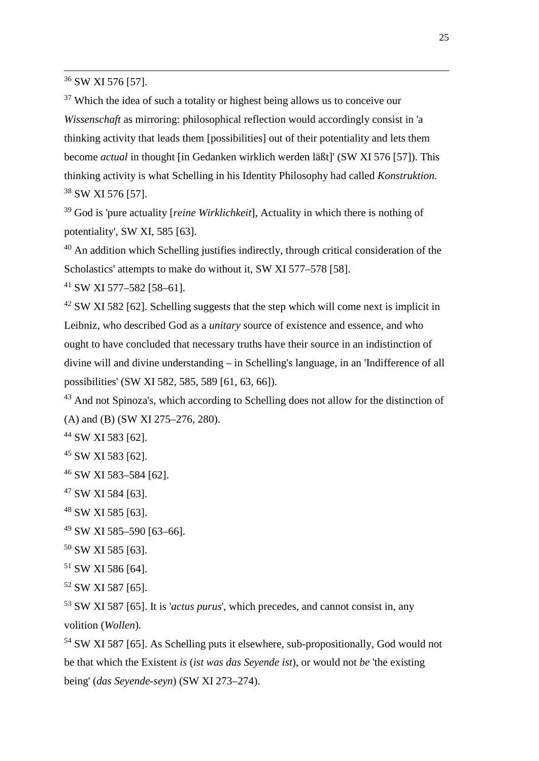<sup>36</sup> SW XI 576 [57].

1

 $37$  Which the idea of such a totality or highest being allows us to conceive our *Wissenschaft* as mirroring: philosophical reflection would accordingly consist in 'a thinking activity that leads them [possibilities] out of their potentiality and lets them become *actual* in thought [in Gedanken wirklich werden läßt]' (SW XI 576 [57]). This thinking activity is what Schelling in his Identity Philosophy had called *Konstruktion*. <sup>38</sup> SW XI 576 [57].

<sup>39</sup> God is 'pure actuality [*reine Wirklichkeit*], Actuality in which there is nothing of potentiality', SW XI, 585 [63].

<sup>40</sup> An addition which Schelling justifies indirectly, through critical consideration of the Scholastics' attempts to make do without it, SW XI 577–578 [58].

<sup>41</sup> SW XI 577–582 [58–61].

 $42$  SW XI 582 [62]. Schelling suggests that the step which will come next is implicit in Leibniz, who described God as a *unitary* source of existence and essence, and who ought to have concluded that necessary truths have their source in an indistinction of divine will and divine understanding – in Schelling's language, in an 'Indifference of all possibilities' (SW XI 582, 585, 589 [61, 63, 66]).

<sup>43</sup> And not Spinoza's, which according to Schelling does not allow for the distinction of (A) and (B) (SW XI 275–276, 280).

<sup>44</sup> SW XI 583 [62].

<sup>45</sup> SW XI 583 [62].

- <sup>47</sup> SW XI 584 [63].
- <sup>48</sup> SW XI 585 [63].
- <sup>49</sup> SW XI 585–590 [63–66].
- <sup>50</sup> SW XI 585 [63].
- <sup>51</sup> SW XI 586 [64].
- <sup>52</sup> SW XI 587 [65].

<sup>53</sup> SW XI 587 [65]. It is '*actus purus*', which precedes, and cannot consist in, any volition (*Wollen*).

<sup>54</sup> SW XI 587 [65]. As Schelling puts it elsewhere, sub-propositionally, God would not be that which the Existent *is* (*ist was das Seyende ist*), or would not *be* 'the existing being' (*das Seyende-seyn*) (SW XI 273–274).

<sup>46</sup> SW XI 583–584 [62].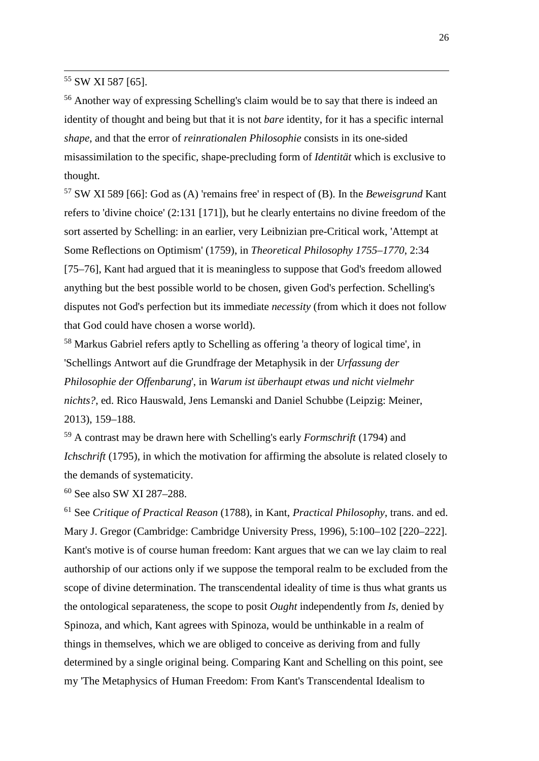<sup>55</sup> SW XI 587 [65].

1

<sup>56</sup> Another way of expressing Schelling's claim would be to say that there is indeed an identity of thought and being but that it is not *bare* identity, for it has a specific internal *shape*, and that the error of *reinrationalen Philosophie* consists in its one-sided misassimilation to the specific, shape-precluding form of *Identität* which is exclusive to thought.

<sup>57</sup> SW XI 589 [66]: God as (A) 'remains free' in respect of (B). In the *Beweisgrund* Kant refers to 'divine choice' (2:131 [171]), but he clearly entertains no divine freedom of the sort asserted by Schelling: in an earlier, very Leibnizian pre-Critical work, 'Attempt at Some Reflections on Optimism' (1759), in *Theoretical Philosophy 1755–1770*, 2:34 [75–76], Kant had argued that it is meaningless to suppose that God's freedom allowed anything but the best possible world to be chosen, given God's perfection. Schelling's disputes not God's perfection but its immediate *necessity* (from which it does not follow that God could have chosen a worse world).

<sup>58</sup> Markus Gabriel refers aptly to Schelling as offering 'a theory of logical time', in 'Schellings Antwort auf die Grundfrage der Metaphysik in der *Urfassung der Philosophie der Offenbarung*', in *Warum ist überhaupt etwas und nicht vielmehr nichts?*, ed. Rico Hauswald, Jens Lemanski and Daniel Schubbe (Leipzig: Meiner, 2013), 159–188.

<sup>59</sup> A contrast may be drawn here with Schelling's early *Formschrift* (1794) and *Ichschrift* (1795), in which the motivation for affirming the absolute is related closely to the demands of systematicity.

<sup>60</sup> See also SW XI 287–288.

<sup>61</sup> See *Critique of Practical Reason* (1788), in Kant, *Practical Philosophy*, trans. and ed. Mary J. Gregor (Cambridge: Cambridge University Press, 1996), 5:100–102 [220–222]. Kant's motive is of course human freedom: Kant argues that we can we lay claim to real authorship of our actions only if we suppose the temporal realm to be excluded from the scope of divine determination. The transcendental ideality of time is thus what grants us the ontological separateness, the scope to posit *Ought* independently from *Is*, denied by Spinoza, and which, Kant agrees with Spinoza, would be unthinkable in a realm of things in themselves, which we are obliged to conceive as deriving from and fully determined by a single original being. Comparing Kant and Schelling on this point, see my 'The Metaphysics of Human Freedom: From Kant's Transcendental Idealism to